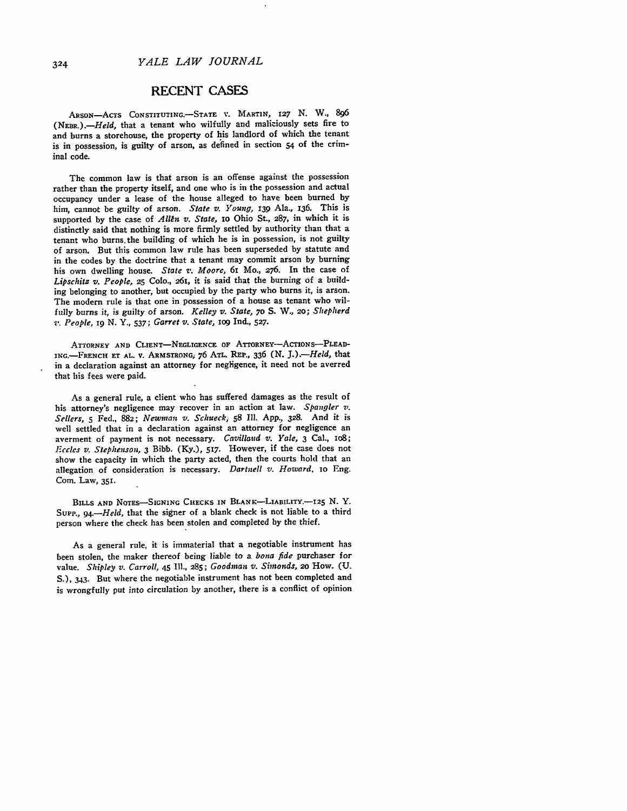*YALE LAW JOURNAL*

## RECENT **CASES**

ARSoN-AcTs CONSTITUTING.-STATE V. MARTIN, 127 **N.** W., **<sup>896</sup>** *(NrnR.).-Held,* that a tenant who wilfully and maliciously sets fire to and burns a storehouse, the property of his landlord of which the tenant is in possession, is guilty of arson, as defined in section 54 of the criminal code.

The common law is that arson is an offense against the possession rather than the property itself, and one who is in the possession and actual occupancy under a lease of the house alleged to have been burned by him, cannot **be** guilty of arson. *State v. Young,* **i39** Ala., **136.** This is supported by the case of *Allen v. State*, to Ohio St., 287, in which it is distinctly said that nothing is more firmly settled **by** authority than that a tenant who burns.the building of which he is in possession, is not guilty of arson. But this common law rule has been superseded **by** statute and in the codes **by** the doctrine that a tenant may commit arson **by** burning his own dwelling house. *State v. Moore,* 6i Mo., **276.** In the case of *Lipschitz v. People,* **25** Colo., 261, it is said that the burning of a building belonging to another, but occupied **by** the party who burns it, is arson. The modern rule is that one in possession of a house as tenant who wilfully burns it, is guilty of arson. *Kelley v. State,* **70 S.** W., 20; *Shepherd v. People,* **19** N. Y., 537; *Garret v. State,* iog Ind., **527.**

ATTORNEY AND CLIENT-NEGLIGENCE OF ATTORNEY-ACTIONS-PLEAD-ING.-FRENCH **ET AL.** V. ARMSTRONG; **76** ATL. REP., **336 (N.** J.).-Held, that in a declaration against an attorney for negligence, it need not be averred that his fees were paid.

As a general rule, a client who has suffered damages as the result of his attorney's negligence may recover in an action at law. *Spangler v.* Sellers, **5** Fed., 882; *Newman v.* Schueck, **58** Ill. App., **328.** And it is well settled that in a declaration against an attorney for negligence an averment of payment is not necessary. *Cavillaud v. Yale,* 3 Cal., lo8; *Eccles v. Stephenson,* 3 Bibb. (Ky.), 517. However, if the case does not show the capacity in which the party acted, then the courts hold that an allegation of consideration is necessary. Dartnell *v. Howard,* io Eng. Com. Law, **351.**

**BILLS AND NOTES-SIGNING CHECKS IN** BLANK-LIABILITY.-I25 **N.** Y. Supp., 94.-*Held*, that the signer of a blank check is not liable to a third person where the check has been stolen and completed by the thief.

As a general rule, it is immaterial that a negotiable instrument has been stolen, the maker thereof being liable to a *bona fide* purchaser for value. *Shipley v. Carroll,* 45 **Ill., 285;** *Goodman v. Simonds,* **2o** How. **(U. S.),** 343. But where the negotiable instrument has not been completed and is wrongfully put into circulation **by** another, there is a conflict of opinion

324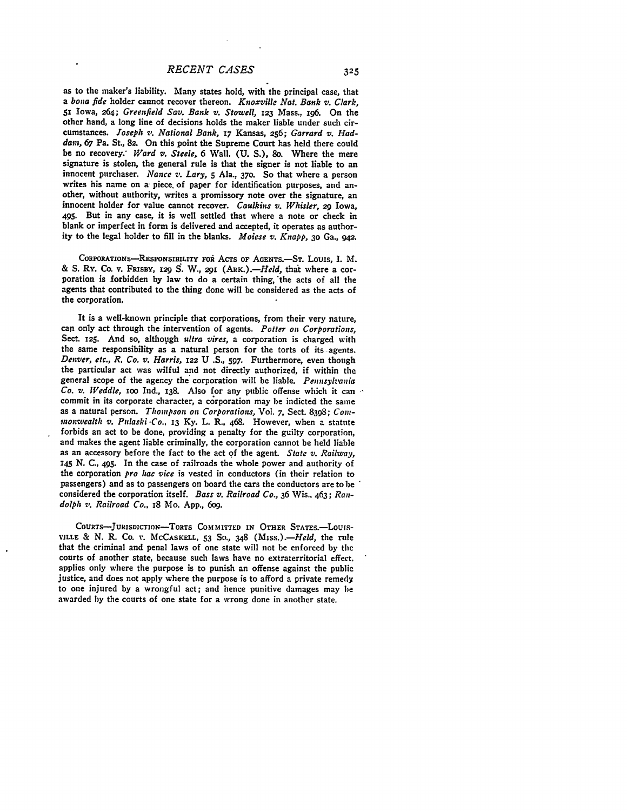as to the maker's liability. Many states hold, with the principal case, that *a bona fide* holder cannot recover thereon. *Knoxville Nat. Bank v. Clark,* 51 Iowa, 264; *Greenfield Say. Bank v. Stowell,* **123** Mass., 196. On the other hand, a long line of decisions holds the maker liable under such circumstances. *Joseph v. National Bank,* **17** Kansas, **256;** *Garrard v. Haddam,* **67** Pa. St., **82.** On this point the Supreme Court has held there could be no recovery: *Ward v. Steele,* **6** Wall. **(U. S.), 8o.** Where the mere signature is stolen, the general rule is that the signer is not liable to an innocent purchaser. *Nance v. Lary, 5* Ala., **370.** So that where a person writes his name on a piece, of paper for identification purposes, and another, without authority, writes a promissory note over the signature, an innocent holder for value cannot recover. *Caulkins v. Whisler,* 29 Iowa, 495. But in any case, it is well settled that where a note or check in blank or imperfect in form is delivered and accepted, it operates as authority to the legal holder to **fill** in the blanks. *Moiese v. Knapp,* **3o** Ga., 942.

CORPORATIONS-RESPONSIBILITY FOR ACTS OF AGENTS.-ST. LOUIS, I. M. & S. Ry. Co. v. FRISBY, 129 S. W., 291 (ARK.).-*Held*, that where a corporation is forbidden by law to do a certain thing, the acts of all the agents that contributed to the thing done will be considered as the acts of the corporation.

It is a well-known principle that corporations, from their very nature, can only act through the intervention of agents. Potter on Corporations, Sect. **125.** And so, although *ultra vires,* a corporation is charged with the same responsibility **as** a natural person for the torts of its agents. *Denver, etc., R. Co. v. Harris,* **122 U .S., 597.** Furthermore, even though the particular act was wilful and not directly authorized, if within the general scope of the agency the corporation will be liable. *Pennsylvania* Co. v. *Weddle*, 100 Ind., 138. Also for any public offense which it can commit in its corporate character, a corporation may be indicted the same as a natural person. *Thompson on Corporations*, Vol. 7, Sect. 8398; Com*monwealth v. Pulaski -Co..* **13 Ky.** L. R., 468. However, when a statute forbids an act to be done. providing a penalty for the guilty corporation, and makes the agent liable criminally, the corporation cannot **be** held liable as an accessory before the fact to the act **of** the agent. *State v. Railway,* **145 N. C.,** 495. In the case of railroads the whole power and authority of the corporation *pro hac vice* is vested in conductors (in their relation to passengers) and as to passengers on board the cars the conductors are to be considered the corporation itself. *Bass v. Railroad Co.,* **36** Wis.. 463; *Randolph v' Railroad Co.,* 18 Mo. **App., 6o9.**

COURTS-JURISDICTION-TORTS COMMITTED IN OTHER STATES.-LOUIS-**VILLE** & **N.** R. **Co.** v. MCCASKELL, **53** So., **348** *(Miss.).-Held,* the rule that the criminal and penal laws of one state will not be enforced **by** the courts of another state, because such laws have no extraterritorial effect. applies only where the purpose is to punish an offense against the public justice, and does not apply where the purpose is to afford a private remedy to one injured **by** a wrongful act; and hence punitive damages may be awarded **by** the courts of one state for a wrong done in another state.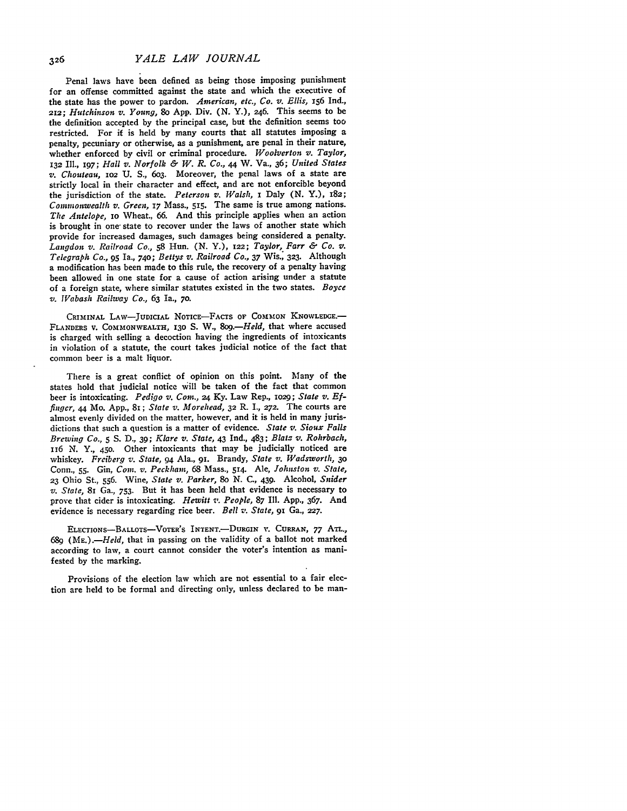Penal laws have been defined as being those imposing punishment for an offense committed against the state and which the executive of the state has the power to pardon. *American, etc., Co. v. Ellis,* **156** Ind., *212; Hutchinson v. Young, 8o* App. Div. **(N.** Y.), 246. This seems to be the definition accepted by the principal case, but the definition seems too restricted. For if is held by many courts that all statutes imposing a penalty, pecuniary or otherwise, as a punishment, are penal in their nature, whether enforced by civil or criminal procedure. *Woolverton v. Taylor,* 132 I1., 197; *Hall v. Norfolk & W. R. Co.,* 44 W. Va., 36; *United States v. Chouteau,* **1O2 U.** S., 6o3. Moreover, the penal laws of a state are strictly local in their character and effect, and are not enforcible beyond the jurisdiction of the state. *Peterson v. Walsh,* I Daly (N. Y.), **x82;** *Commonwealth v. Green,* 17 Mass., 515. The same is true among nations. *The Antelope,* io Wheat., 66. And this principle applies when an action is brought in one state to recover under the laws of another state which provide for increased damages, such damages being considered a penalty. *Langdon v. Railroad Co.,* **58** Hun. (N. Y.), 122; *Taylor, Farr & Co. v. Telegraph Co.,* **95** Ia., 74o; *Bettys v. Railroad Co.,* 37 Wis., **323.** Although a modification has been made to this rule, the recovery of a penalty having been allowed in one state for a cause of action arising under a statute of a foreign state, where similar statutes existed in the two states. *Boyce v. Vabash Railway Co., 63* Ia., **70.**

CRIMINAL **LAW-JUDICIAL** NOTIcE-FAcTs **oF CoMmoN KNOWLEDGE.- FLANDERS** V. COMMONWEALTH, **130 S.** W., *8o.-Held,* that where accused is charged with selling a decoction having the ingredients of intoxicants in violation of a statute, the court takes judicial notice of the fact that common beer is a malt liquor.

There is a great conflict of opinion on this point. Many of the states hold that judicial notice will be taken of the fact that common beer is intoxicating. *Pedigo v. Com.,* 24 **Ky.** Law Rep., io2g; *State v. Effinger, 44* Mo. App., 81; *State v. Morehead,* **32** R. I., *272.* The courts are almost evenly divided on the matter, however, and it is held in many jurisdictions that such a question is a matter of evidence. *State v. Sioux Falls Brewing Co.,* **5 S. D.,** 39; *Klare v. State,* 43 Ind., 483; *Blatz v. Rohrbach,* **1i6 N.** *Y.,* 450. Other intoxicants that may be judicially noticed are whiskey. *Frciberg v. State, 94* Ala., 91. Brandy, *State v. Wadsworth, 30* Conn., **55.** Gin, *Corn. v. Peckham,* **68** Mass., 514. Ale, *Johnston v. State,* **23** Ohio St., **556.** Wine, *State v. Parker, 8o* N. **C.,** 439. Alcohol, *Snider v. State,* 81 Ga., 753. But it has been held that evidence is necessary to prove that cider is intoxicating. *Hewitt v. People,* **87** IIl. **App.,** 367. And evidence is necessary regarding rice beer. *Bell v. State,* 91 Ga., *227.*

ELECTIONS-BALLOTS-VOTER'S INTENT.-DURGIN **V. CURRAN,** 77 *ATL., 689 (ME.).-Held,* that in passing on the validity of a ballot not marked according to law, a court cannot consider the voter's intention as manifested by the marking.

Provisions of the election law which are not essential to a fair election are held to be formal and directing only, unless declared to be man-

326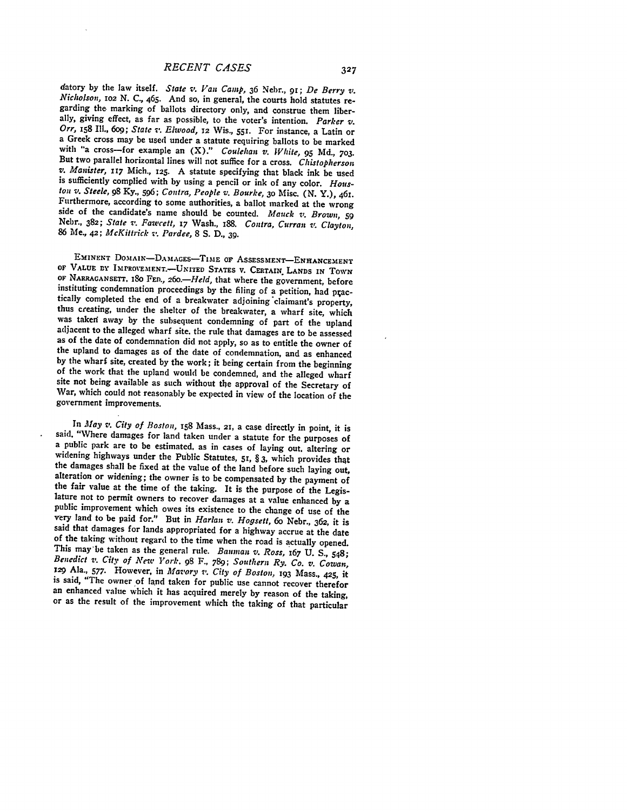datory by the law itself. *State v. Van Camp*, 36 Nebr., 91; *De Berry v. Nicholson*, 102 N. C., 465. And so, in general, the courts hold statutes regarding the marking of ballots directory only, and construe them liberal Orr, 158 Ill., 609; State v. Elwood, 12 Wis., 551. For instance, a Latin or a Greek cross may be used under a statute requiring ballots to be marked with "a cross--for example an  $(X)$ ." Coulehan v. White, 95 Md., 703. But v. Manister, 117 Mich., 125. A statute specifying that black ink be used<br>is sufficiently complied with by using a pencil or ink of any color. Hous-<br>ton v. Steele, 98 Ky., 596; Contra, People v. Bourke, 30 Misc. (N. Y.), 4 Furthermore, according to some authorities, a ballot marked at the wrong<br>side of the candidate's name should be counted. Mauck v. Brown, 59<br>Nebr., 382; State v. Fawcett, 17 Wash., 188. Contra, Curran v. Clayton,<br>86 Me., 42

EMINENT DOMAIN-DAMAGES-TIME OF ASSESSMENT-ENHANCEMENT OF VALUE BY IMPROVEMENT.—UNITED STATES V. CERTAIN, LANDS IN TOWN OF NARRAGANSETT, 180 FED., 260.—Held, that where the government, before instituting condemnation proceedings by the filing of a petition, had practically completed the end of a breakwater adjoining claimant's property, thus creating, under the shelter of the breakwater, a wharf site, which was War, which could not reasonably be expected in view of the location of the government improvements.

In *May v. City of Boston*, 158 Mass., 21, a case directly in point, it is<br>said, "Where damages for land taken under a statute for the purposes of<br>a public park are to be estimated, as in cases of laying out, altering or<br> said that damages for lands appropriated for a highway accrue at the date<br>of the taking without regard to the time when the road is actually opened.<br>This may be taken as the general rule. Bauman v. Ross, 167 U. S., 548;<br>B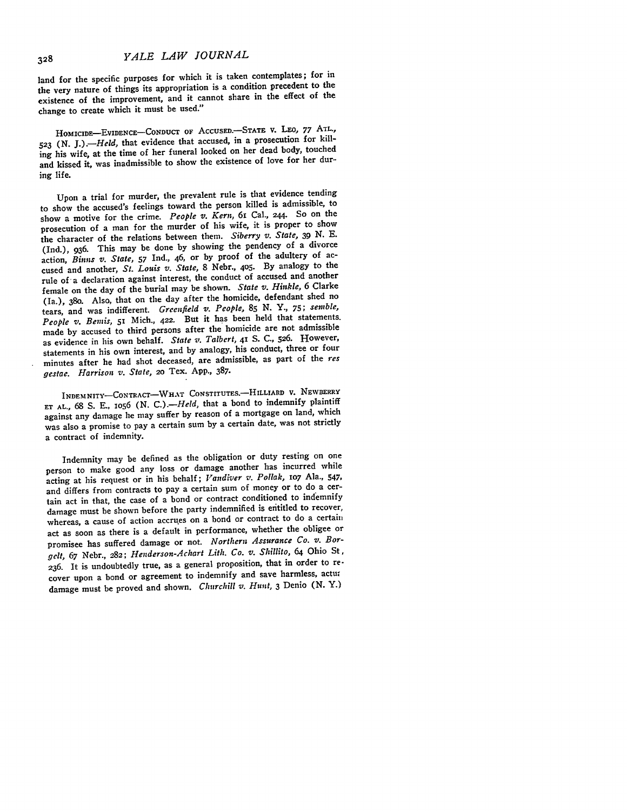land for the specific purposes for which it is taken contemplates; for in the very nature of things its appropriation is a condition precedent to the existence of the improvement, and it cannot share in the effect of the change to create which it must be used."

HOMICIDE-EvIDENCE-CONDUCT **OF** AccUSED.-STATE v. LEO, **77** AmL., **523** (N. *J.).-Held,* that evidence that accused, in a prosecution for killing his wife, at the time of her funeral looked on her dead body, touched and kissed it, was inadmissible to show the existence of love for her during life.

Upon a trial for murder, the prevalent rule is that evidence tending to show the accused's feelings toward the person killed is admissible, to show a motive for the crime. *People v. Kern,* 6i Cal., 244. So on the prosecution of a man for the murder of his wife, it is proper to show the character of the relations between them. *Siberry v. State,* **39** N. **E.** (Ind.), 936. This may be done by showing the pendency of a divorce action, Binns *v. State,* **<sup>57</sup>**Ind., 46, or by proof of the adultery of accused and another, *St. Louis v. State,* 8 Nebr., 4o5. **By** analogy to the rule of a declaration against interest, the conduct of accused and another female on the day of the burial may be shown. *State v. Hinkle,* 6 Clarke (Ia.), 38o. Also, that on the day after the homicide, defendant shed no tears, and was indifferent. *Greenfield* v. *People,* **85** N. Y., *75; sentble, People v. Benis, 51* Mich., **422.** But it has been held that statements. made by accused to third persons after the homicide are not admissible as evidence in his own behalf. *State v. Talbert,* **41 S.** C., **526.** However, statements in his own interest, and by analogy, his conduct, three or four minutes after he had shot deceased, are admissible, as part of the *res gestae. Harrison v. State,* **2o** Tex. App., 387.

**INDEMNITY-CONTRACT-WHAT CONSTITUTES.-ILLIARD** v. **NEWBERRY ET AL., 68 S. E., 1o56 (N.** *C.).-Held,* that a bond to indemnify plaintiff against any damage **he** may suffer **by** reason of a mortgage on land, which was also a promise to pay a certain sum **by** a certain date, was not strictly a contract of indemnity.

Indemnity may be defined as the obligation or duty resting on one person to make good any loss or damage another has incurred while acting at his request or in his behalf; *Vandiver v. Pollak,* lO7 Ala., 547, and differs from contracts to pay a certain sum of money or to do a certain act in that, the case of a bond or contract conditioned to indemnify damage must be shown before the party indemnified is entitled to recover, whereas, a cause of action accrues on a bond or contract to do a certain act as soon as there is a default in performance, whether the obligee or promisee has suffered damage or not. *Northern Assurance Co. v. Borgelt,* **67** Nebr., **282;** *Henderson-Achart Lith. Co. v. Shillito,* 64 Ohio St, **236.** It **is** undoubtedly true, as a general proposition, that in order to **re**cover upon a bond or agreement to indemnify and save harmless, actu damage must be proved and shown. *Churchill v. Hunt,* **3** Denio **(N.** Y.)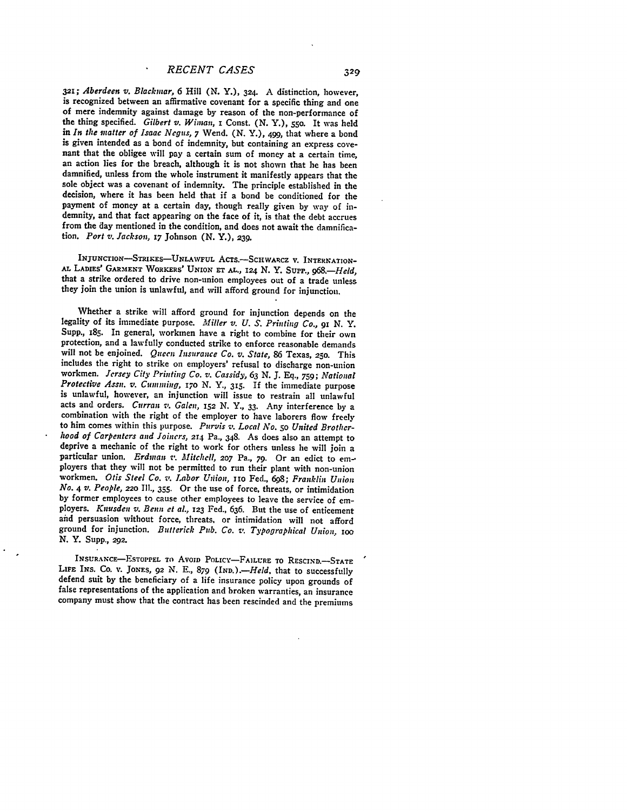*321; Aberdeen v.* Blackinar, 6 Hill **(N. Y.), 324.** A distinction, however, of mere indemnity against damage by reason of the non-performance of the thing specified. *Gilbert v. Wiman,* **i** Const. (N. Y.), **55o.** It was held in *In the matter of Isaac Negus,* 7 Wend. (N. Y.), 499, that where a bond is given intended as a bond of indemnity, but containing an express cove- nant that the obligee will pay a certain sum of money at a certain time, an action lies for the breach, although it is not shown that he has been damnified, unless from the whole instrument it manifestly appears that the sole object was a covenant of indemnity. The principle established in the decision, where it has been held that if a bond be conditioned for the payment of money at a certain day, though really given by way of indemnity, and that fact appearing on the face of it, is that the debt accrues from the day mentioned in the condition, and does not await the damnification. *Port v. Jackson,* **17** Johnson (N. Y.), **239.**

**INJUNCTION-STRIKES-UNLAWFUL** AcTs.-SCHWARCZ V. **INTERNATION-AL LADIES'** GARMENT **WORKERS' UNION ET AL.,** *I24* **N.** Y. SupP., *968.-Held,* that a strike ordered to drive non-union employees out of a trade unless they join the union is unlawful, and will afford ground for injunction.

Whether a strike will afford ground for injunction depends on the legality of its immediate purpose. *Miller v. U. S. Printing Co., gi* **N.** *Y.* Supp., 185. In general, workmen have a right to combine for their own protection, and a lawfully conducted strike to enforce reasonable demands will not be enjoined. *Queen Insurance Co. v. State,* 86 Texas, 25o. This includes the right to strike on employers' refusal to discharge non-union workmen. *Jersey City Printing Co. v. Cassidy,* **63 N. J. Eq.,** *759; National Protective Assn,. v. Cumming, I70* **N.** *Y.,* **315.** If the immediate purpose is unlawful, however, an injunction will issue to restrain all unlawful acts and orders. *Curran v. Galen, 152* N. *Y.,* **33.** Any interference by a combination with the right of the employer to have laborers flow freely to him comes within this purpose. Purvis *v. Local No. 50 United Brotherhood of Carpenters and Joiners,* **2r4** Pa., 348. As does also an attempt to particular union. *Erdman v*. *Mitchell*, 207 Pa., 79. Or an edict to employers that they will not be permitted to run their plant with non-union workmen. *Otis Steel Co. z: Labor Ufiion, rio* Fed., **698;** *Franklin Union No. 4 v. People, 220* **Ill., 355.** Or the use of force, threats, or intimidation by former employees to cause other employees to leave the service of em- ployers. *Knusdeu v. Beun et al.,* **123** Fed., 636. But the use of enticement aid persuasion without force, threats, or intimidation will not afford ground for injunction. *Butterick Pub. Co. v. Typographical Union. IOO* **N.** Y. Supp., **292.**

**INSURANCE-ESTOPPEL TO AVOID POLICY-FAILURE TO RESCIND.**-STATE LiFr **INS. Co. V. JONES, 92 N. E., 879** *(IND.).-Held,* that to successfully defend suit **by** the beneficiary of a life insurance policy upon grounds of false representations of the application and broken warranties, an insurance company must show that the contract has been rescinded and the premiums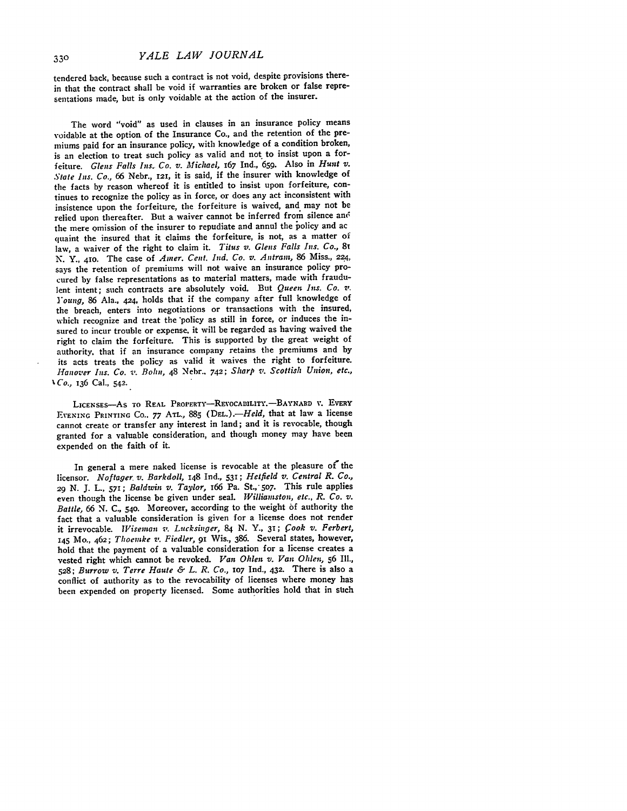tendered back, because such a contract is not void, despite provisions therein that the contract shall be void if warranties are broken or false representations made, but is only voidable at the action of the insurer.

The word "void" as used in clauses in an insurance policy means voidable at the option of the Insurance Co., and the retention of the premiums paid for an insurance policy, with knowledge of a condition broken, is an election to treat such policy as valid and not to insist upon a forfeiture. *Glens Falls Ins. Co. v. Michael,* <sup>167</sup>Ind., **659.** Also in *Hunt v. State Ins. Co.,* 66 Nebr., **121,** it is said, if the insurer with knowledge of the facts by reason whereof it is entitled to insist upon forfeiture, continues to recognize the policy as in force, or does any act inconsistent with insistence upon the forfeiture, the forfeiture is waived, and may not be relied upon thereafter. But a waiver cannot be inferred from silence and the mere omission of the insurer to repudiate and annul the jolicy and ac quaint the insured that it claims the forfeiture, is not, as a matter of law, a waiver of the right to claim it. *Titus v. Glens Falls Ins. Co.,* **8T N.** Y., **41o.** The case of *Amer. Cent.* Ind. *Co. v. Antram,* 86 Miss., 224, says the retention of premiums will not waive an insurance policy procured by false representations as to material matters, made with fraudulent intent; such contracts are absolutely void. But *Queen Ins. Co. v. Young,* **86** Ala., 424, holds that if the company after full knowledge of the breach, enters into negotiations or transactions with the insured, which recognize and treat the 'policy as still in force, or induces the insured to incur trouble or expense, it will be regarded as having waived the right to claim the forfeiture. This is supported by the great weight of authority, that if an insurance company retains the premiums and by its acts treats the policy as valid it waives the right to forfeiture. *Hanover* Ins. *Co. %-.* Bohn, 48 Nebr.. 742; *Sharp v. Scottish Union, etc., %Co.,* **136** Cal., 542.

LICENSES-AS **TO REAL PROPERTY-REvOCABILITY.-BAYNARD** V. **EVERY** EVENING PRINTING Co., 77 ATL., 885 (DEL.). - Held, that at law a license cannot create or transfer any interest in land; and it is revocable, though granted for a valuable consideration, and though money may have been expended on the faith of it.

In general a mere naked license is revocable at the pleasure of the licensor. *Noftager. v. Barkdoll,* 148 Ind., **53I;** *Hetfield v. Central R. Co.,* **<sup>29</sup>**N. **J.** L., 571; *Baldwin v. Taylor, i66* Pa. St., **507.** This rule applies even though the license be given under seal. *Williamston, etc., R. Co. v. Battle,* 66 *N.* **C., 540.** Moreover, according to the weight **of** authority the fact that a valuable consideration is given for a license does not render it irrevocable. *lViseman* **v,.** *Lucksinger, 84* N. *Y., 31;* .Cook *v. Ferbert,* **<sup>145</sup>**Mo., 462; Thoemke z. *Fiedler,* **9i** Wis., 386. Several states, however, hold that the payment of a valuable consideration for a license creates a vested right which cannot be revoked. *Van Ohlen v. Van Ohlen,* **56** Ill., **528;** *Burrow v. Terre Haute & L. R. Co.,* **107** Ind., 432. There is also a conflict of authority as to the revocability of licenses where money hag been expended on property licensed. Some authorities hold that in stch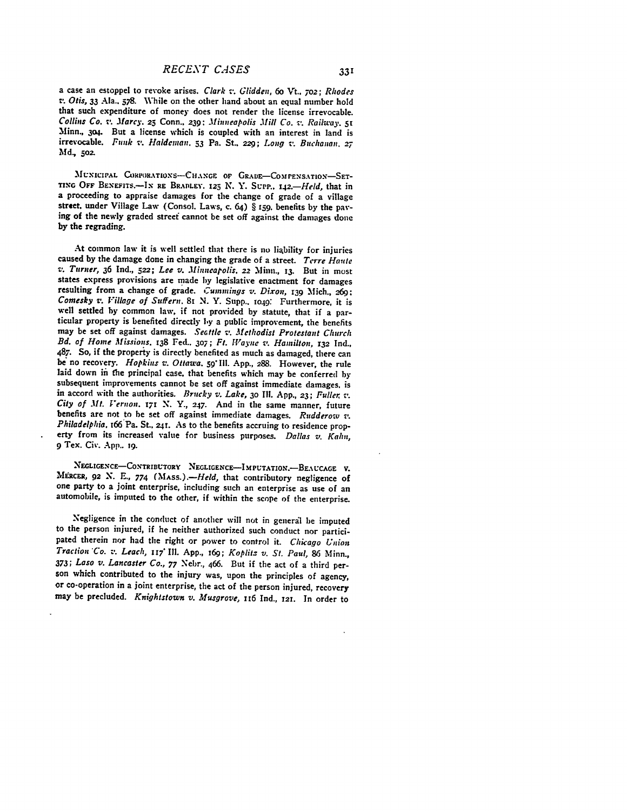a case an estoppel to revoke arises. *Clark -'. Glidden, 60* Vt.. *7o2; Rhodes T.* Otis, *33* Ala.. 578. While on the other hand about an equal number hold that such expenditure of money does not render the license irrevocable. Collins Co. **v.** *.Marcy.* **25** Conn., **239:** *Minneapolis Mill Co. v. Railway. <sup>51</sup>* Minn., **304.** But a license which is coupled with an interest in land is irrevocable. *Funk -,. Haldeman.* **53** Pa. St.. **229;** *Long v. Buchanan. 27* **Md,** *5oz.*

MUNICIPAL CORPORATIONS-CHANGE OF GRADE-COMPENSATION-SET-**TIX** OFF **BEXFITS.-Ix** RE BRADLEY. **125 N.** *Y.* **ScPP..** *142.-Held,* that in a proceeding to appraise damages for the change of grade of a village street. under Village Law (Consol. Laws, c. 64) § **159.** benefits **by** the paving of the newly graded streef cannot be set off against the damages done **by** the regrading.

At common law it is well settled that there is no liability for injuries caused **by** the damage done in changing the grade of a street. *Terre Haute v. Turner,* **36** Ind., **522;** *Lee v. .Minneapolis,* **22** Minn., **13.** But in most states express provisions are made **by** legislative enactment for damages resulting from a change of grade. Cummings *v. Dixon,* **r39** Mich., **-69:** *Comesky v. Village of Suffern. 81* **N.** Y. Supp.. **io49:** Furthermore, it is well settled by common law, if not provided **by** statute, that if a particular property is benefited directly **l,y** a public improvement, the benefits may be set off against damages. *Secttle v. Methodist Protestant Church Bd. of Home Missions.* 138 Fed.. *307; Ft. W!ayne v. Hamilton,* **r32** Ind., **487.** So, if the property is directly benefited as much as damaged, there can **be** no recovery. *Hopkins v. Ottawa. 59* **Ill. App., 288.** However, the rule laid down in the principal case, that benefits which may be conferred by subsequent improvements cannot be set off against immediate damages, is in accord with the authorities. *Brucky v. Lake,* **30 Ii.** App., **23;** *Fuller, -. City of .it. Vernon. 171 N.* **Y., 247.** And in the same manner, future benefits are not to be set off against immediate damages. *Rudderow 7.* Philadelphia. <sup>166</sup> Pa. St., 241. As to the benefits accruing to residence property from its increased value for business purposes. *Dallas v. Kahn,* **9** Tex. Civ. **App.. T9.**

NEGLIGENCE-CONTRIBUTORY NEGLIGENCE-IMPUTATION.-BEAUCAGE V. MERCER, 92 N. E., 774 (MASS.).—Held, that contributory negligence of one party to a joint enterprise, including such an enterprise as use of an automobile, is imputed to the other, if within the scope of the enterprise.

Negligence in the conduct of another will not in general be imputed to the person injured, if he neither authorized such conduct nor participated therein nor had the right or power to control it. *Chicago Union Traction Co. v. Leach,* **117"** Ill. **App.,** i69; *Koplitz v. St. Paul,* **86** Minn., **373;** *Laso v. Lancaster Co.,* **77** Nebr., 466. But if the act of a third person which contributed to the injury was, upon the principles of agency, or co-operation in a joint enterprise, the act of the person injured, recovery may be precluded. *Knightstown v. Musgrove,* z16 **Ind., 121.** In order to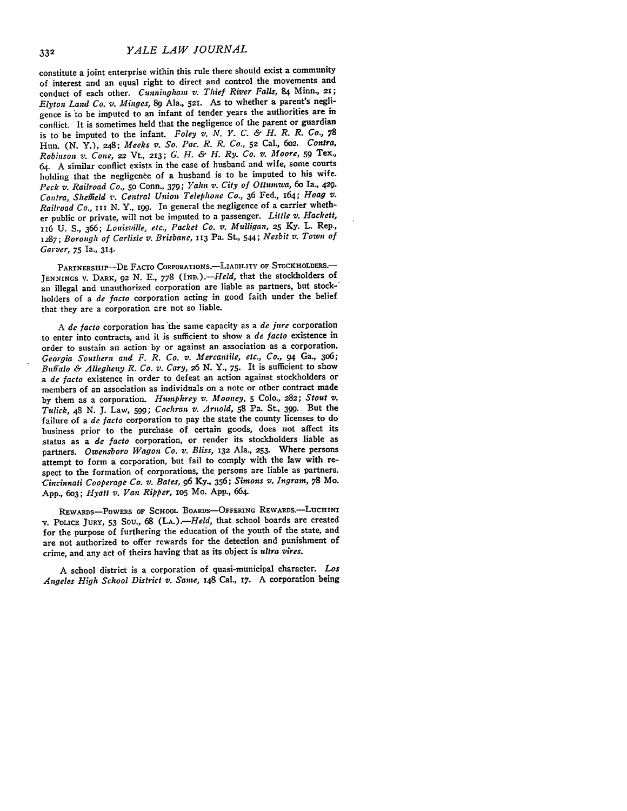constitute a joint enterprise within this rule there should exist a community of interest and an equal right to direct and control the movements and conduct of each other. *Cunningham v. Thief River Falls,* 84 Minn., **21;** *Elyton Land Co. v. Minges, 89* Ala., **521.** As to whether a parent's negligence is 'to be imputed to an infant of tender years the authorities are in conflict. It is sometimes held that the negligence of the parent or guardian is to be imputed to the infant. *Foley v. N. Y. C. & H. R. R. Co., 78* Hun. **(N.** Y.), 248; *Meeks v. So. Pac. R. R. Co.,* **52** Cal., **602.** *Contra, Robinson v. Cone,* 22 Vt., **213;** *G. H. & H. Ry. Co. v. Moore,* **59** Tex., 64. A similar conflict exists in the case of husband and wife, some courts holding that the negligence of a husband is to be imputed to his wife. *Peck* v. *Railroad Co., 50* Conn., **379;** *Yahn v. City of* Ottumwa, 6o Ia., 429. *Contra, Sheffield v. Central Union Telephone Co.,* 36 Fed., 164; *Hoag v. Railroad Co., III* N. Y., *i99.* 'In general the negligence of a carrier whether public or private, will not be imputed to a passenger. *Little v. Hackett,* 116 U. S., 366; *Louisville, etc., Packet Co. v. Mulligan,* **25** Ky. L. Rep., 1287; *Borough of Carlisle v. Brisbane,* 113 Pa. St., 544; *Nesbit v. Town of Garver, 75* Ia., 314.

PARTNERSHIP--DE FACTO CORPORATIONS.-LIABILITY OF STOCKHOLDERS.-**JENNINGS V.** DARK, **92 N. E., 778** *(IND.).-Held,* that the stockholders of an illegal and unauthorized corporation are liable as partners, but stock-' holders of a *de facto* corporation acting in good faith under the belief that they are a corporation are not so liable.

*<sup>A</sup>de facto* corporation has the same capacity as a *de jure* corporation to enter into contracts, and it is sufficient to show a *de facto* existence in order to sustain an action by or against an association as a corporation. *Georgia Southern and F. R. Co. v. Mercantile, etc., Co., 94* Ga., 306; *Buffalo & Allegheny R. Co. v. Cary, 26* **N.** *Y.,* **75.** It is sufficient to show a *de facto* existence in order to defeat an action against stockholders or members of an association as individuals on a note or other contract made by them as a corporation. *Humphrey v. Mooney, 5* Colo., **282;** *Stout v. Tulick,* 48 N. J. Law, **599;** *Cochran v. Arnold,* **58** Pa. St., 399. But the failure of a *de facto* corporation to pay the state the county licenses to do business prior to the purchase of certain goods, does not affect its status as a *de facto* corporation, or render its stockholders liable as partners. *Owensboro Wagon Co. v. Bliss,* **132** Ala., **253.** Where persons attempt to form a corporation, but fail to comply with the law with respect to the formation of corporations, the persons are liable as partners. *Cincinnati Cooperage Co. v. Bates,* **96** Ky., 356; *Simons v. Ingram,* 78 Mo. App., 603; *Hyatt v. Van Ripper,* io5 Mo. App., 664.

REWARDS-POWERS **OF SCHOOL BOARDS-OFFERING** REWARDs.-LucHINI v. **POLICE JURY, 53** Sou., 68 *(LA.).--Held,* that school boards are created for the purpose of furthering the education of the youth of the state, and are not authorized to offer rewards for the detection and punishment of crime, and any act of theirs having that as its object is *ultra vires.*

A school district is a corporation of quasi-municipal character. *Los Angeles High School District v. Same,* 148 Cal., **17.** A corporation being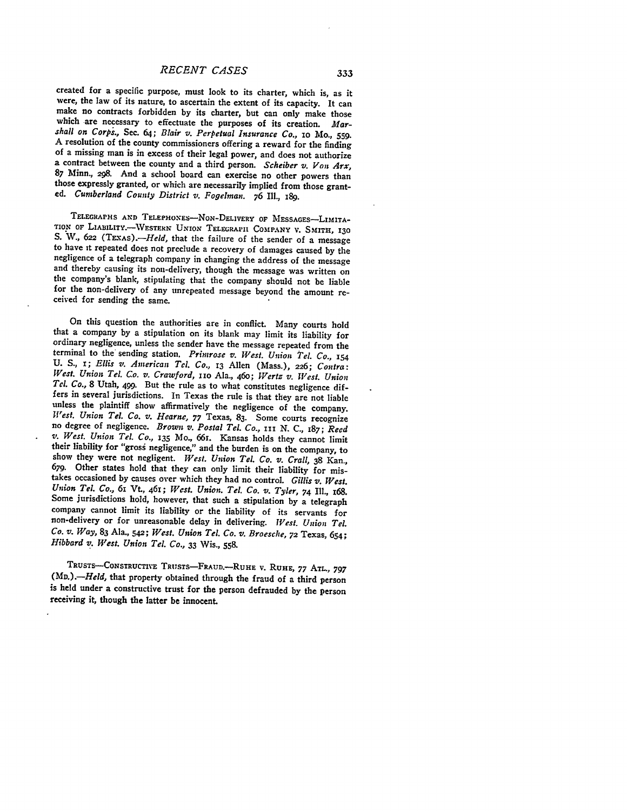## *RECENT CASES*

created for a specific purpose, must look to its charter, which is, as it were, the law of its nature, to ascertain the extent of its capacity. It can<br>make no contracts forbidden by its charter, but can only make those<br>which are necessary to effectuate the purposes of its creation. Mar*shall on Corps.,* Sec. 64; *Blair v. Perpetual Insurance Co.,* io Mo., **559.** A resolution of the county commissioners offering a reward for the finding<br>of a missing man is in excess of their legal power, and does not authorize<br>a contract between the county and a third person. *Scheiber v. Von Arx* those expressly granted, or which are necessarily implied from those grant-<br>ed. Cumberland County District v. Fogelman. 76 Ill., 189.

TELEGRAPHS AND TELEPHONES-NON-DELIVERY OF MESSAGES-LIMITA-TION OF LIABILITY. WESTERN UNION TELEGRAPII COMPANY V. SMITH, 130 S. W., 622 (TEXAS).—Held, that the failure of the sender of a message to have it repeated does not preclude a recovery of damages caused by the negligence of a telegraph company in changing the address of the message and thereby causing its non-delivery, though the message was written on the company's blank, stipulating that the company should not be liable for the non-delivery of any unrepeated message beyond the amount received for s

On this question the authorities are in conflict. Many courts hold that a company **by** a stipulation on its blank may limit its liability for ordinary negligence, unless the sender have the message repeated from the terminal to the sending station. *Primrose v. WesL Union Tel. Co.,* **<sup>154</sup> U. S., x;** *Ellis v. American Tel. Co.,* **13** Allen (Mass.), **226;** *Contra: West. Union Tel. Co. v. Crawford, 110 Ala., 460; Wertz v. West. Union Tel. Co., 8 Utah, 499.* But the rule as to what constitutes negligence differs in several jurisdictions. In Texas the rule is that they are not liable<br>unless the plaintiff show affirmatively the negligence of the company.<br>West. Union Tel. Co. v. Hearne, 77 Texas, 83. Some courts recognize<br>no de their liability for "gross negligence," and the burden is on the company, to show they were not negligent. West. Union Tel. Co. v. Crall, 38 Kan., 679. Other states hold that they can only limit their liability for mistakes occasioned **by** causes over which they had no control. *Gillis v. West. Union Tel. Co.,* **6I** Vt, 461; *West. Union. Tel. Co. v. Tyler,* 74 **Ill., 168.** Some jurisdictions hold, however, that such a stipulation **by** a telegraph company cannot limit its liability or the liability of its servants for non-delivery or for unreasonable delay in delivering. *West. Union Tel. Co. v. Way,* **83** Ala., 542; *West. Union* **Tel.** *Co. v. Broesche,* **72** Texas, 654; *Hibbard v. West. Union Tel. Co.,* **33** Wis., 558.

**TRUSTS-CONSTRUCTiVE TRUSTS-FRAUD.-RUHE** v. **RUHE, 77 ATL., 797** (MD.).-Held, that property obtained through the fraud of a third person is held under a constructive trust for the person defrauded **by** the person receiving it, though the latter be innocent.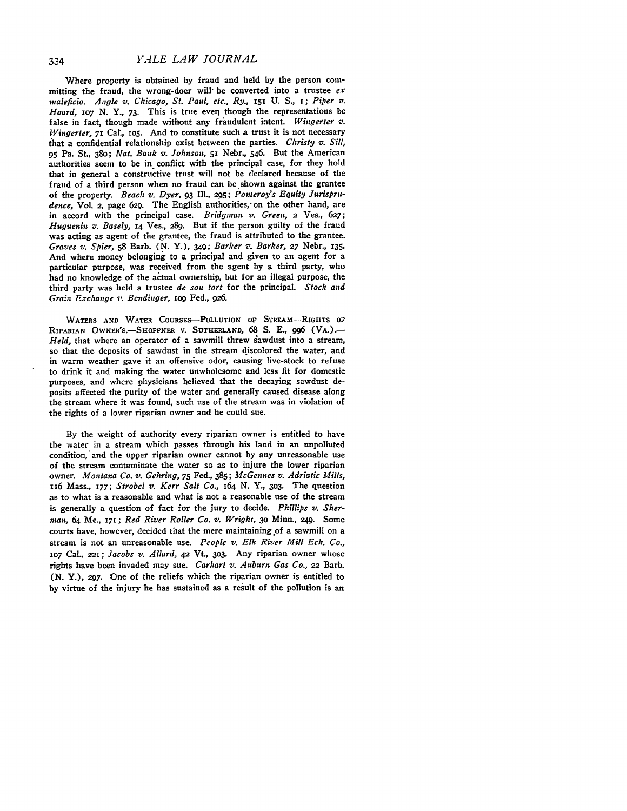Where property is obtained **by** fraud and held **by** the person committing the fraud, the wrong-doer will'be converted into a trustee *ex nmaleficio.* Angle *v.* Chicago, St. *Paul, etc., Ry.,* **II U. S., i;** *Piper v. Hoard, 1o7* **N. Y., 73.** This is true **everl** though the representations be false in fact, though made without any fraudulent intent. *Wingerter v. Wingerter, 71 Cal., 105.* And to constitute such a trust it is not necessary that a confidential relationship exist between the parties. *Christy v. Sill,* **95** Pa. St., 38o; *Nat. Bank v. Johnson,* **51** Nebr., 546. But the American authorities seem to be in conflict with the principal case, for they hold that in general a constructive trust will not be declared because of the fraud of a third person when no fraud can be shown against the grantee of the property. *Beach v. Dyer,* **93** Ill., **295;** *Porneroy's Equity Jurispru*dence, Vol. 2, page 629. The English authorities, on the other hand, are in accord with the principal case. Bridgman *v. Green,* **2** Ves., **627;** *Huguenin v. Basely,* **14** Ves., **289.** But if the person guilty of the fraud was acting as agent of the grantee, the fraud is attributed to the grantee. *Graves v. Spier,* **58** Barb. **(N.** Y.), 349; *Barker v. Barker,* **27** Nebr., **135.** And where money belonging to a principal and given to an agent for a particular purpose, was received from the agent **by** a third party, who had no knowledge of the actual ownership, but for an illegal purpose, the third party was held a trustee *de son tort* for the principal. *Stock and Grain Exchange v. Bcndinger, iog* Fed., 926.

WATERS **AND** WATER **COURSES-PoLLUTION** OF STREAM-RIGHTS **OF** RIPARIAN OWNER'S.-SHOFFNER **V. SUTHERLAND, 68 S. E., 996 (VA.).-** Held, that where an operator of a sawmill threw sawdust into a stream, so that the deposits of sawdust in the stream discolored the water, and in warm weather gave it an offensive odor, causing live-stock to refuse to drink it and making the water unwholesome and less fit for domestic purposes, and where physicians believed that the decaying sawdust deposits affected the purity of the water and generally caused disease along the stream where it was found, such use of the stream was in violation of the rights of a lower riparian owner and he could sue.

**By** the weight of authority every riparian owner is entitled to have the water in a stream which passes through his land in an unpolluted condition,'and the upper riparian owner cannot **by** any unreasonable use of the stream contaminate the water so as to injure the lower riparian owner. *Montana Co. v. Gehring,* **75** Fed., **385;** *McGennes v. Adriatic Mills,* ii6 Mass., *i77; Strobel v. Kerr Salt Co., 164* **N. Y.,** 3o3. The question as to what is a reasonable and what is not a reasonable use of the stream is generally a question of fact for the jury to decide. *Phillips v. Sherinan,* 64 Me., **171;** *Red River Roller Co. v. Wright,* **30** Minn., **249.** Some courts have, however, decided that the mere maintaining of a sawmill on a stream is not an unreasonable use. *Pcople v. Elk River Mill Ech. Co.,* **107** Cal., 221; *Jacobs v. Allard,* **42** Vt., 303. Any riparian owner whose rights have been invaded may sue. *Carhart v. Auburn Gas Co.,* **22** Barb. *(N.* Y.), *297.* One of the reliefs which the riparian owner is entitled to **by** virtue of the injury he has sustained as a result of the pollution is an

334